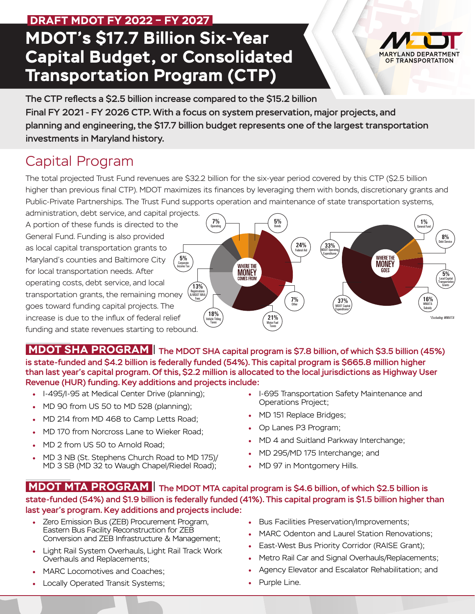# **MDOT's \$17.7 Billion Six-Year Capital Budget, or Consolidated Transportation Program (CTP) DRAFT MDOT FY 2022 – FY 2027**

MARYLAND DEPARTMENT OF TRANSPORTATION

The CTP reflects a \$2.5 billion increase compared to the \$15.2 billion Final FY 2021 - FY 2026 CTP. With a focus on system preservation, major projects, and planning and engineering, the \$17.7 billion budget represents one of the largest transportation investments in Maryland history.

## Capital Program

The total projected Trust Fund revenues are \$32.2 billion for the six-year period covered by this CTP (\$2.5 billion higher than previous final CTP). MDOT maximizes its finances by leveraging them with bonds, discretionary grants and Public-Private Partnerships. The Trust Fund supports operation and maintenance of state transportation systems,

administration, debt service, and capital projects. A portion of these funds is directed to the General Fund. Funding is also provided as local capital transportation grants to Maryland's counties and Baltimore City for local transportation needs. After operating costs, debt service, and local transportation grants, the remaining money goes toward funding capital projects. The increase is due to the influx of federal relief funding and state revenues starting to rebound. Corporate **5%** Income Tax



 **MDOT SHA PROGRAM** | The MDOT SHA capital program is \$7.8 billion, of which \$3.5 billion (45%) is state-funded and \$4.2 billion is federally funded (54%). This capital program is \$665.8 million higher than last year's capital program. Of this, \$2.2 million is allocated to the local jurisdictions as Highway User Revenue (HUR) funding. Key additions and projects include:

- I-495/I-95 at Medical Center Drive (planning);
- MD 90 from US 50 to MD 528 (planning);
- MD 214 from MD 468 to Camp Letts Road;
- MD 170 from Norcross Lane to Wieker Road;
- MD 2 from US 50 to Arnold Road;
- MD 3 NB (St. Stephens Church Road to MD 175)/ MD 3 SB (MD 32 to Waugh Chapel/Riedel Road);
- I-695 Transportation Safety Maintenance and Operations Project;
- MD 151 Replace Bridges;
- Op Lanes P3 Program;
- MD 4 and Suitland Parkway Interchange;
- MD 295/MD 175 Interchange; and
- MD 97 in Montgomery Hills.

#### **MDOT MTA PROGRAM** | The MDOT MTA capital program is \$4.6 billion, of which \$2.5 billion is state-funded (54%) and \$1.9 billion is federally funded (41%). This capital program is \$1.5 billion higher than last year's program. Key additions and projects include:

- Zero Emission Bus (ZEB) Procurement Program, Eastern Bus Facility Reconstruction for ZEB Conversion and ZEB Infrastructure & Management;
- Light Rail System Overhauls, Light Rail Track Work Overhauls and Replacements;
- MARC Locomotives and Coaches:
- Locally Operated Transit Systems;
- Bus Facilities Preservation/Improvements;
- MARC Odenton and Laurel Station Renovations;
- East-West Bus Priority Corridor (RAISE Grant);
- Metro Rail Car and Signal Overhauls/Replacements;
- Agency Elevator and Escalator Rehabilitation; and
- Purple Line.